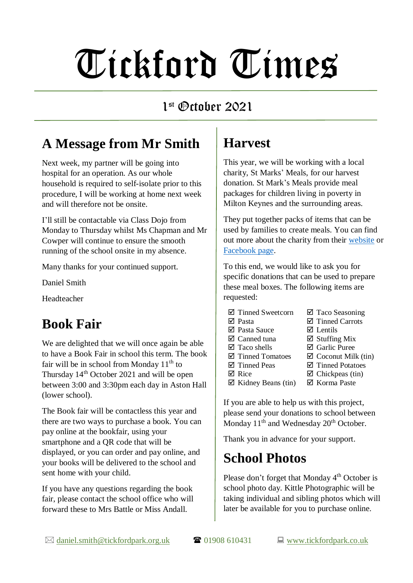# Tickford Times

#### 1 st October 2021

## **A Message from Mr Smith**

Next week, my partner will be going into hospital for an operation. As our whole household is required to self-isolate prior to this procedure, I will be working at home next week and will therefore not be onsite.

I'll still be contactable via Class Dojo from Monday to Thursday whilst Ms Chapman and Mr Cowper will continue to ensure the smooth running of the school onsite in my absence.

Many thanks for your continued support.

Daniel Smith

Headteacher

## **Book Fair**

We are delighted that we will once again be able to have a Book Fair in school this term. The book fair will be in school from Monday  $11<sup>th</sup>$  to Thursday  $14<sup>th</sup>$  October 2021 and will be open between 3:00 and 3:30pm each day in Aston Hall (lower school).

The Book fair will be contactless this year and there are two ways to purchase a book. You can pay online at the bookfair, using your smartphone and a QR code that will be displayed, or you can order and pay online, and your books will be delivered to the school and sent home with your child.

If you have any questions regarding the book fair, please contact the school office who will forward these to Mrs Battle or Miss Andall.

#### **Harvest**

This year, we will be working with a local charity, St Marks' Meals, for our harvest donation. St Mark's Meals provide meal packages for children living in poverty in Milton Keynes and the surrounding areas.

They put together packs of items that can be used by families to create meals. You can find out more about the charity from their [website](https://stmarksmk.com/meals/?fbclid=IwAR2KJLkZ4lVvp6iuFOfiFhRzv4x0EPEN8hJArn21FBuCRE5x6yS3BDWLNgQ) or [Facebook page.](https://www.facebook.com/StMarksMeals/)

To this end, we would like to ask you for specific donations that can be used to prepare these meal boxes. The following items are requested:

- $\boxtimes$  Tinned Sweetcorn
- $\nabla$  Pasta
- Pasta Sauce
- Canned tuna
- $\boxtimes$  Taco shells
- Tinned Tomatoes
- $\boxtimes$  Tinned Peas  $\nabla$  Rice
- ⊠ Taco Seasoning  $\boxtimes$  Tinned Carrots
- 
- $\nabla$  Lentils
- $\boxtimes$  Stuffing Mix
- Garlic Puree
- $\boxtimes$  Coconut Milk (tin)
- $\boxtimes$  Tinned Potatoes
- $\boxtimes$  Chickpeas (tin)
- $\boxtimes$  Kidney Beans (tin)
- Korma Paste

If you are able to help us with this project, please send your donations to school between Monday  $11<sup>th</sup>$  and Wednesday  $20<sup>th</sup>$  October.

Thank you in advance for your support.

## **School Photos**

Please don't forget that Monday 4<sup>th</sup> October is school photo day. Kittle Photographic will be taking individual and sibling photos which will later be available for you to purchase online.